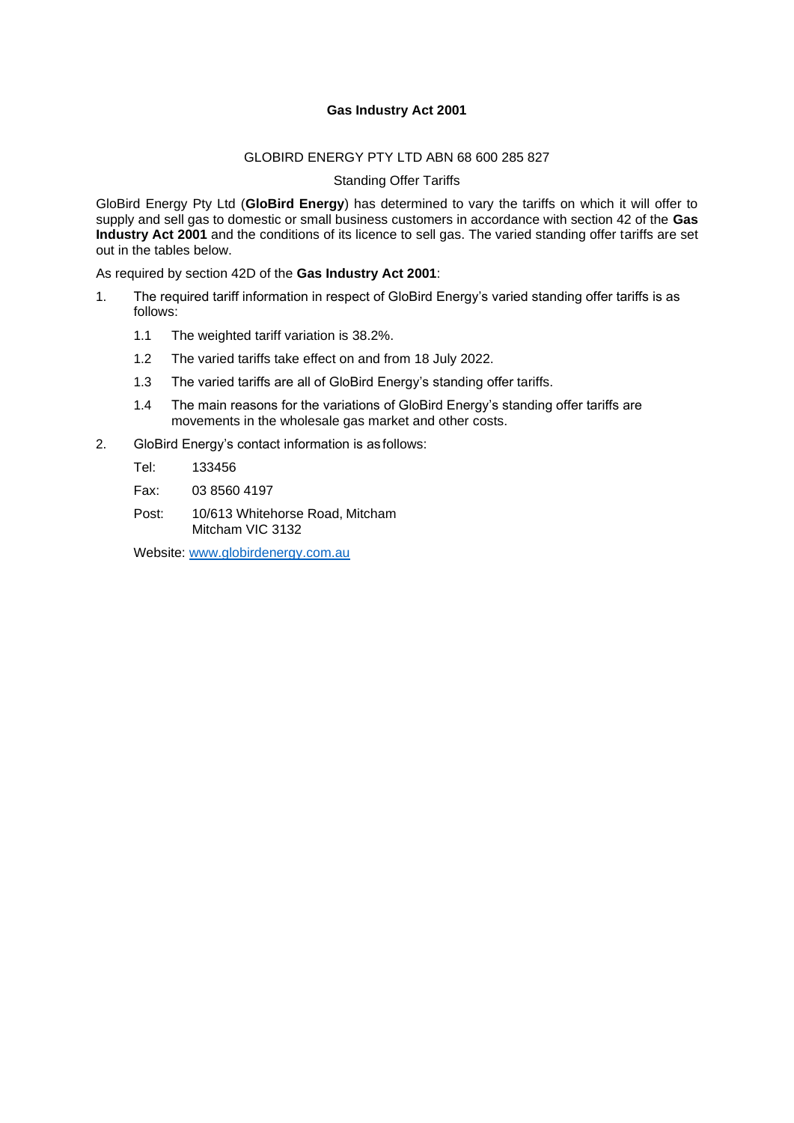# **Gas Industry Act 2001**

#### GLOBIRD ENERGY PTY LTD ABN 68 600 285 827

Standing Offer Tariffs

GloBird Energy Pty Ltd (**GloBird Energy**) has determined to vary the tariffs on which it will offer to supply and sell gas to domestic or small business customers in accordance with section 42 of the **Gas Industry Act 2001** and the conditions of its licence to sell gas. The varied standing offer tariffs are set out in the tables below.

As required by section 42D of the **Gas Industry Act 2001**:

- 1. The required tariff information in respect of GloBird Energy's varied standing offer tariffs is as follows:
	- 1.1 The weighted tariff variation is 38.2%.
	- 1.2 The varied tariffs take effect on and from 18 July 2022.
	- 1.3 The varied tariffs are all of GloBird Energy's standing offer tariffs.
	- 1.4 The main reasons for the variations of GloBird Energy's standing offer tariffs are movements in the wholesale gas market and other costs.
- 2. GloBird Energy's contact information is as follows:

Tel: 133456

Fax: 03 8560 4197

Post: 10/613 Whitehorse Road, Mitcham Mitcham VIC 3132

Website: [www.globirdenergy.com.au](http://www.globirdenergy.com.au/)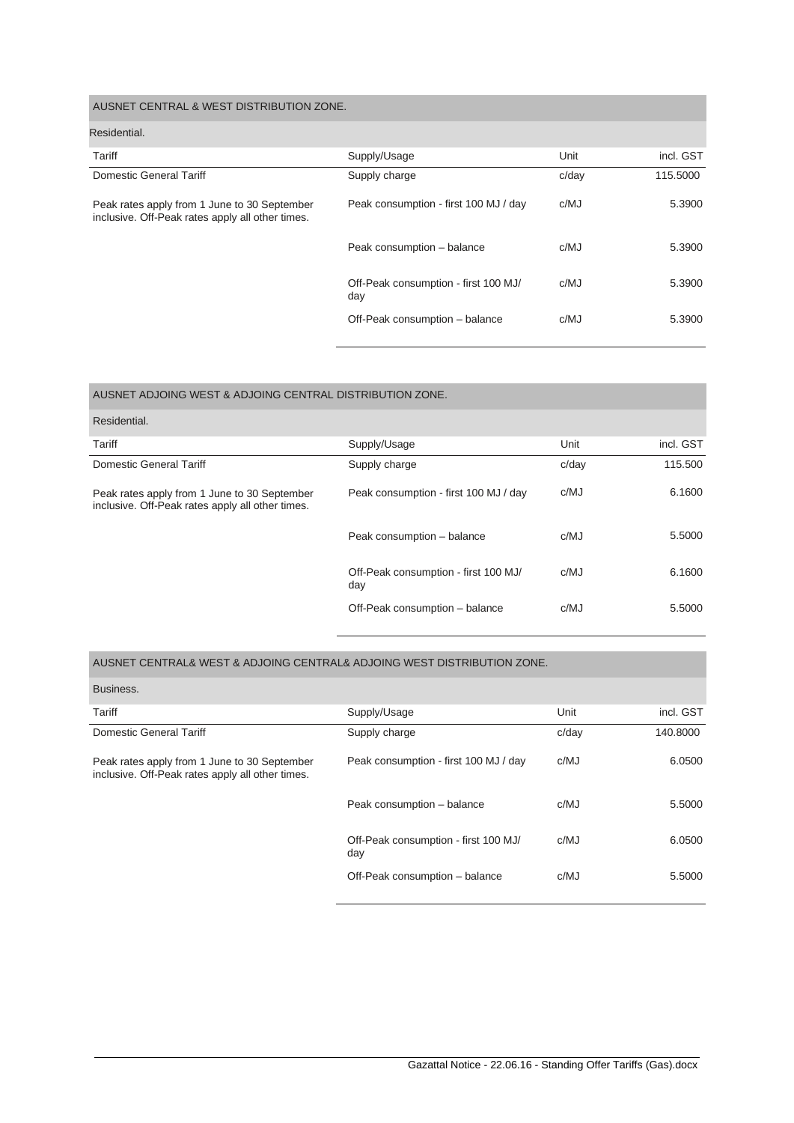| AUSNET CENTRAL & WEST DISTRIBUTION ZONE.                                                         |                                             |       |           |
|--------------------------------------------------------------------------------------------------|---------------------------------------------|-------|-----------|
| Residential.                                                                                     |                                             |       |           |
| Tariff                                                                                           | Supply/Usage                                | Unit  | incl. GST |
| Domestic General Tariff                                                                          | Supply charge                               | c/day | 115,5000  |
| Peak rates apply from 1 June to 30 September<br>inclusive. Off-Peak rates apply all other times. | Peak consumption - first 100 MJ / day       | c/MJ  | 5.3900    |
|                                                                                                  | Peak consumption - balance                  | c/MJ  | 5.3900    |
|                                                                                                  | Off-Peak consumption - first 100 MJ/<br>day | c/MJ  | 5.3900    |
|                                                                                                  | Off-Peak consumption - balance              | c/MJ  | 5.3900    |

| AUSNET ADJOING WEST & ADJOING CENTRAL DISTRIBUTION ZONE.                                         |                                             |       |           |
|--------------------------------------------------------------------------------------------------|---------------------------------------------|-------|-----------|
| Residential.                                                                                     |                                             |       |           |
| Tariff                                                                                           | Supply/Usage                                | Unit  | incl. GST |
| <b>Domestic General Tariff</b>                                                                   | Supply charge                               | c/day | 115,500   |
| Peak rates apply from 1 June to 30 September<br>inclusive. Off-Peak rates apply all other times. | Peak consumption - first 100 MJ / day       | c/MJ  | 6.1600    |
|                                                                                                  | Peak consumption - balance                  | c/MJ  | 5.5000    |
|                                                                                                  | Off-Peak consumption - first 100 MJ/<br>day | c/MJ  | 6.1600    |
|                                                                                                  | Off-Peak consumption - balance              | c/MJ  | 5.5000    |

## AUSNET CENTRAL& WEST & ADJOING CENTRAL& ADJOING WEST DISTRIBUTION ZONE.

| Business.                                                                                        |                                             |       |           |
|--------------------------------------------------------------------------------------------------|---------------------------------------------|-------|-----------|
| Tariff                                                                                           | Supply/Usage                                | Unit  | incl. GST |
| <b>Domestic General Tariff</b>                                                                   | Supply charge                               | c/dav | 140.8000  |
| Peak rates apply from 1 June to 30 September<br>inclusive. Off-Peak rates apply all other times. | Peak consumption - first 100 MJ / day       | c/MJ  | 6.0500    |
|                                                                                                  | Peak consumption - balance                  | c/MJ  | 5.5000    |
|                                                                                                  | Off-Peak consumption - first 100 MJ/<br>day | c/MJ  | 6.0500    |
|                                                                                                  | Off-Peak consumption - balance              | c/MJ  | 5.5000    |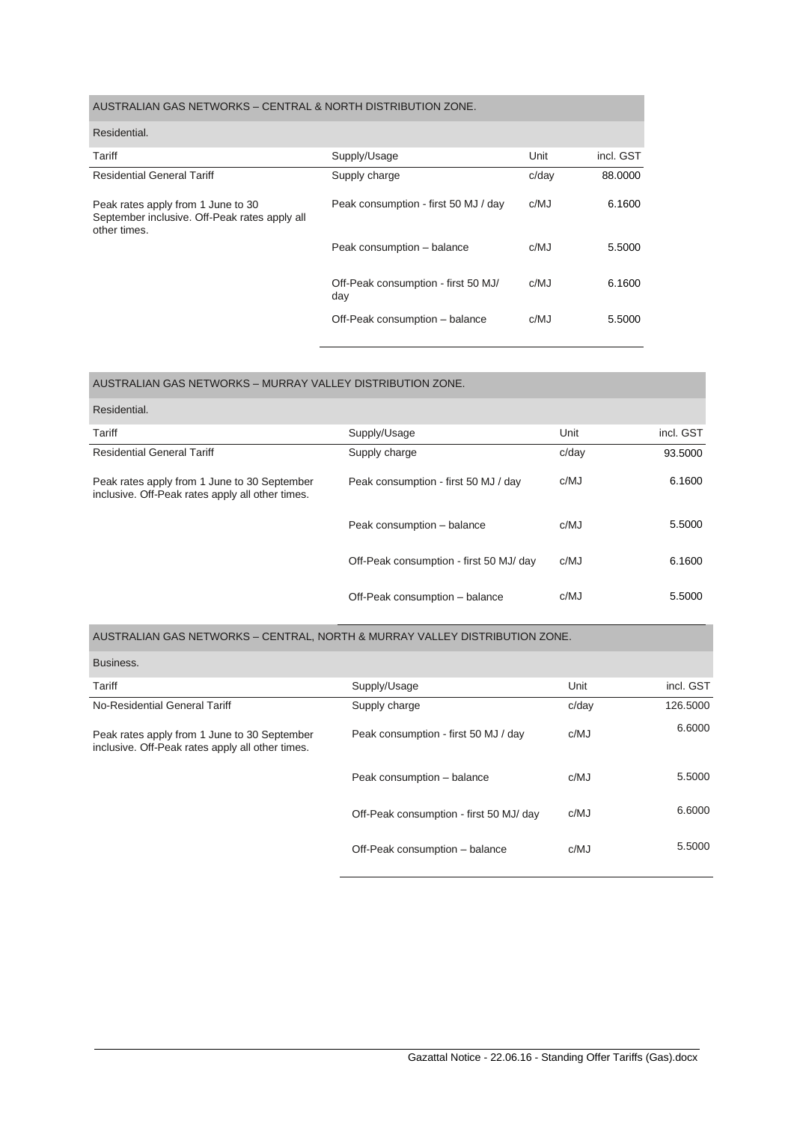## AUSTRALIAN GAS NETWORKS – CENTRAL & NORTH DISTRIBUTION ZONE.

| Residential.                                                                                        |                                            |       |           |
|-----------------------------------------------------------------------------------------------------|--------------------------------------------|-------|-----------|
| Tariff                                                                                              | Supply/Usage                               | Unit  | incl. GST |
| <b>Residential General Tariff</b>                                                                   | Supply charge                              | c/day | 88,0000   |
| Peak rates apply from 1 June to 30<br>September inclusive. Off-Peak rates apply all<br>other times. | Peak consumption - first 50 MJ / day       | c/MJ  | 6.1600    |
|                                                                                                     | Peak consumption - balance                 | c/MJ  | 5.5000    |
|                                                                                                     | Off-Peak consumption - first 50 MJ/<br>day | c/MJ  | 6.1600    |
|                                                                                                     | Off-Peak consumption - balance             | c/MJ  | 5.5000    |

| AUSTRALIAN GAS NETWORKS - MURRAY VALLEY DISTRIBUTION ZONE.                                       |                                         |       |           |
|--------------------------------------------------------------------------------------------------|-----------------------------------------|-------|-----------|
| Residential.                                                                                     |                                         |       |           |
| Tariff                                                                                           | Supply/Usage                            | Unit  | incl. GST |
| <b>Residential General Tariff</b>                                                                | Supply charge                           | c/day | 93.5000   |
| Peak rates apply from 1 June to 30 September<br>inclusive. Off-Peak rates apply all other times. | Peak consumption - first 50 MJ / day    | c/MJ  | 6.1600    |
|                                                                                                  | Peak consumption - balance              | c/MJ  | 5.5000    |
|                                                                                                  | Off-Peak consumption - first 50 MJ/ day | c/MJ  | 6.1600    |
|                                                                                                  | Off-Peak consumption - balance          | c/MJ  | 5.5000    |

#### AUSTRALIAN GAS NETWORKS – CENTRAL, NORTH & MURRAY VALLEY DISTRIBUTION ZONE.

| Business.                                                                                        |                                         |       |           |
|--------------------------------------------------------------------------------------------------|-----------------------------------------|-------|-----------|
| Tariff                                                                                           | Supply/Usage                            | Unit  | incl. GST |
| No-Residential General Tariff                                                                    | Supply charge                           | c/day | 126,5000  |
| Peak rates apply from 1 June to 30 September<br>inclusive. Off-Peak rates apply all other times. | Peak consumption - first 50 MJ / day    | c/MJ  | 6.6000    |
|                                                                                                  | Peak consumption - balance              | c/MJ  | 5.5000    |
|                                                                                                  | Off-Peak consumption - first 50 MJ/ day | c/MJ  | 6.6000    |
|                                                                                                  | Off-Peak consumption - balance          | c/MJ  | 5.5000    |